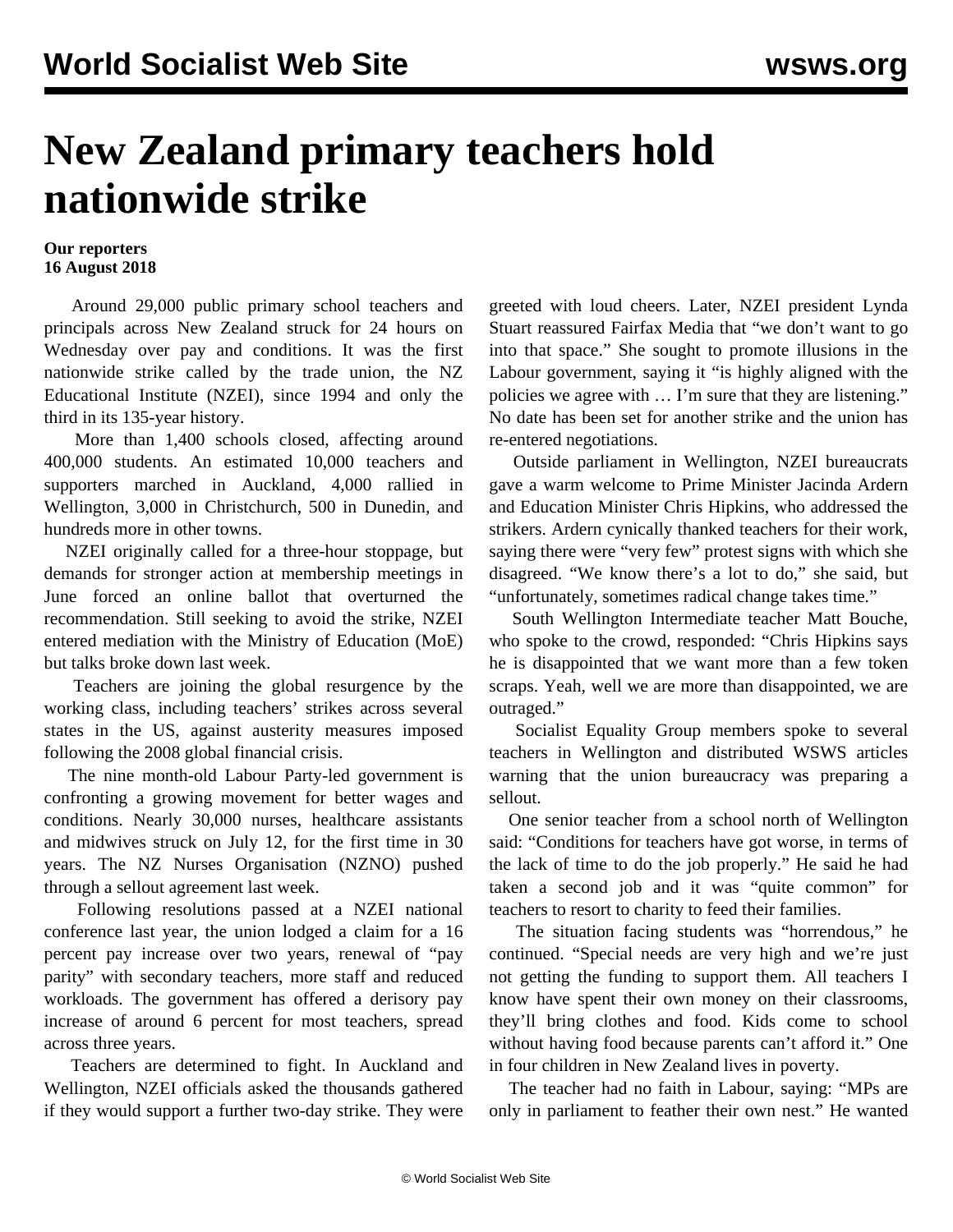## **New Zealand primary teachers hold nationwide strike**

## **Our reporters 16 August 2018**

 Around 29,000 public primary school teachers and principals across New Zealand struck for 24 hours on Wednesday over pay and conditions. It was the first nationwide strike called by the trade union, the NZ Educational Institute (NZEI), since 1994 and only the third in its 135-year history.

 More than 1,400 schools closed, affecting around 400,000 students. An estimated 10,000 teachers and supporters marched in Auckland, 4,000 rallied in Wellington, 3,000 in Christchurch, 500 in Dunedin, and hundreds more in other towns.

 NZEI originally called for a three-hour stoppage, but demands for stronger action at membership meetings in June forced an online ballot that overturned the recommendation. Still seeking to avoid the strike, NZEI entered mediation with the Ministry of Education (MoE) but talks broke down last week.

 Teachers are joining the global resurgence by the working class, including teachers' strikes across several states in the US, against austerity measures imposed following the 2008 global financial crisis.

 The nine month-old Labour Party-led government is confronting a growing movement for better wages and conditions. Nearly 30,000 nurses, healthcare assistants and midwives struck on July 12, for the first time in 30 years. The NZ Nurses Organisation (NZNO) pushed through a sellout agreement last week.

 Following resolutions passed at a NZEI national conference last year, the union lodged a claim for a 16 percent pay increase over two years, renewal of "pay parity" with secondary teachers, more staff and reduced workloads. The government has offered a derisory pay increase of around 6 percent for most teachers, spread across three years.

 Teachers are determined to fight. In Auckland and Wellington, NZEI officials asked the thousands gathered if they would support a further two-day strike. They were greeted with loud cheers. Later, NZEI president Lynda Stuart reassured Fairfax Media that "we don't want to go into that space." She sought to promote illusions in the Labour government, saying it "is highly aligned with the policies we agree with … I'm sure that they are listening." No date has been set for another strike and the union has re-entered negotiations.

 Outside parliament in Wellington, NZEI bureaucrats gave a warm welcome to Prime Minister Jacinda Ardern and Education Minister Chris Hipkins, who addressed the strikers. Ardern cynically thanked teachers for their work, saying there were "very few" protest signs with which she disagreed. "We know there's a lot to do," she said, but "unfortunately, sometimes radical change takes time."

 South Wellington Intermediate teacher Matt Bouche, who spoke to the crowd, responded: "Chris Hipkins says he is disappointed that we want more than a few token scraps. Yeah, well we are more than disappointed, we are outraged."

 Socialist Equality Group members spoke to several teachers in Wellington and distributed WSWS articles warning that the union bureaucracy was preparing a sellout.

 One senior teacher from a school north of Wellington said: "Conditions for teachers have got worse, in terms of the lack of time to do the job properly." He said he had taken a second job and it was "quite common" for teachers to resort to charity to feed their families.

 The situation facing students was "horrendous," he continued. "Special needs are very high and we're just not getting the funding to support them. All teachers I know have spent their own money on their classrooms, they'll bring clothes and food. Kids come to school without having food because parents can't afford it." One in four children in New Zealand lives in poverty.

 The teacher had no faith in Labour, saying: "MPs are only in parliament to feather their own nest." He wanted